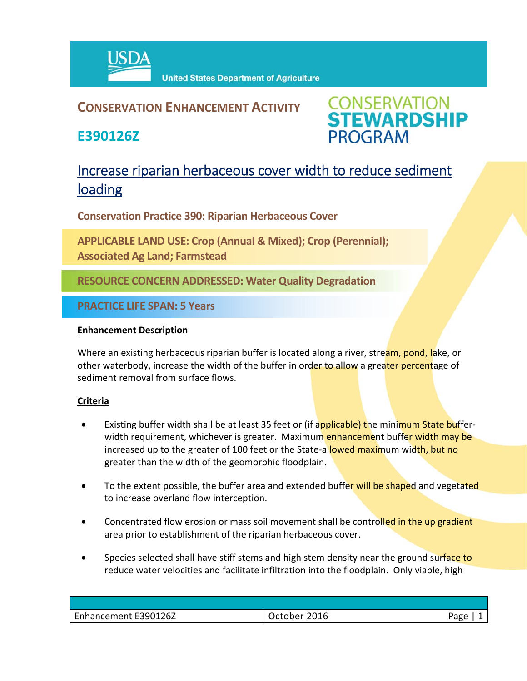

## **CONSERVATION ENHANCEMENT ACTIVITY**

**E390126Z**



# Increase riparian herbaceous cover width to reduce sediment loading

**Conservation Practice 390: Riparian Herbaceous Cover**

**APPLICABLE LAND USE: Crop (Annual & Mixed); Crop (Perennial); Associated Ag Land; Farmstead** 

**RESOURCE CONCERN ADDRESSED: Water Quality Degradation**

**PRACTICE LIFE SPAN: 5 Years**

### **Enhancement Description**

Where an existing herbaceous riparian buffer is located along a river, stream, pond, lake, or other waterbody, increase the width of the buffer in order to allow a greater percentage of sediment removal from surface flows.

### **Criteria**

- Existing buffer width shall be at least 35 feet or (if applicable) the minimum State bufferwidth requirement, whichever is greater. Maximum enhancement buffer width may be increased up to the greater of 100 feet or the State-allowed maximum width, but no greater than the width of the geomorphic floodplain.
- To the extent possible, the buffer area and extended buffer will be shaped and vegetated to increase overland flow interception.
- Concentrated flow erosion or mass soil movement shall be controlled in the up gradient area prior to establishment of the riparian herbaceous cover.
- Species selected shall have stiff stems and high stem density near the ground surface to reduce water velocities and facilitate infiltration into the floodplain. Only viable, high

| Enhancement E390126Z<br>2016<br>October |  |      |
|-----------------------------------------|--|------|
|                                         |  | Page |